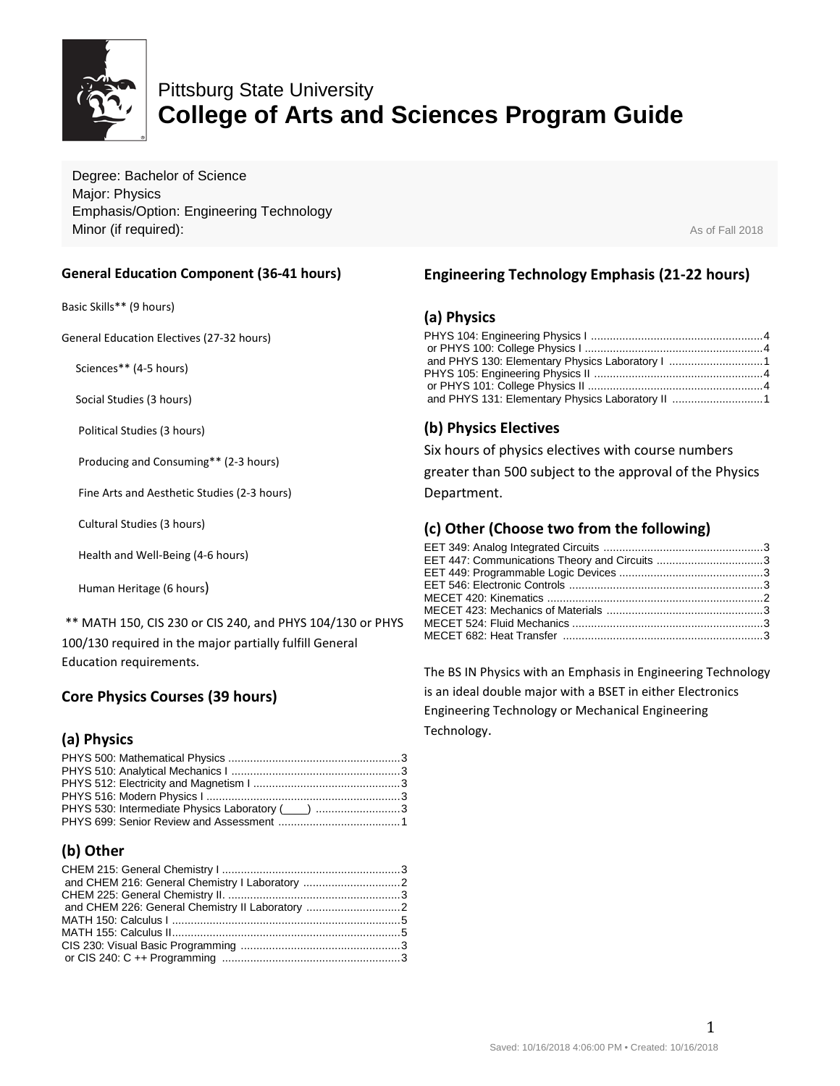

# Pittsburg State University **College of Arts and Sciences Program Guide**

Degree: Bachelor of Science Major: Physics Emphasis/Option: Engineering Technology **Minor (if required):** As of Fall 2018

#### **General Education Component (36-41 hours)**

Basic Skills\*\* (9 hours)

General Education Electives (27-32 hours)

Sciences\*\* (4-5 hours)

Social Studies (3 hours)

Political Studies (3 hours)

Producing and Consuming\*\* (2-3 hours)

Fine Arts and Aesthetic Studies (2-3 hours)

Cultural Studies (3 hours)

Health and Well-Being (4-6 hours)

Human Heritage (6 hours)

\*\* MATH 150, CIS 230 or CIS 240, and PHYS 104/130 or PHYS 100/130 required in the major partially fulfill General Education requirements.

# **Core Physics Courses (39 hours)**

# **(a) Physics**

# **(b) Other**

# **Engineering Technology Emphasis (21-22 hours)**

#### **(a) Physics**

| and PHYS 131: Elementary Physics Laboratory II 1 |  |
|--------------------------------------------------|--|

### **(b) Physics Electives**

Six hours of physics electives with course numbers

greater than 500 subject to the approval of the Physics Department.

### **(c) Other (Choose two from the following)**

| EET 447: Communications Theory and Circuits 3 |  |
|-----------------------------------------------|--|
|                                               |  |
|                                               |  |
|                                               |  |
|                                               |  |
|                                               |  |
|                                               |  |
|                                               |  |

The BS IN Physics with an Emphasis in Engineering Technology is an ideal double major with a BSET in either Electronics Engineering Technology or Mechanical Engineering Technology.